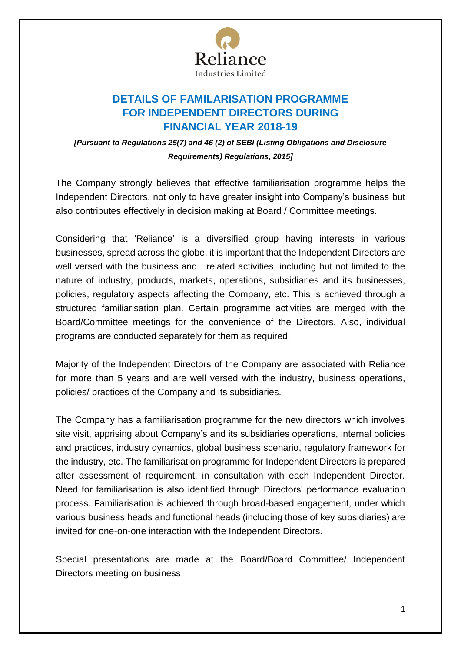

## **DETAILS OF FAMILARISATION PROGRAMME FOR INDEPENDENT DIRECTORS DURING FINANCIAL YEAR 2018-19**

*[Pursuant to Regulations 25(7) and 46 (2) of SEBI (Listing Obligations and Disclosure Requirements) Regulations, 2015]*

The Company strongly believes that effective familiarisation programme helps the Independent Directors, not only to have greater insight into Company's business but also contributes effectively in decision making at Board / Committee meetings.

Considering that 'Reliance' is a diversified group having interests in various businesses, spread across the globe, it is important that the Independent Directors are well versed with the business and related activities, including but not limited to the nature of industry, products, markets, operations, subsidiaries and its businesses, policies, regulatory aspects affecting the Company, etc. This is achieved through a structured familiarisation plan. Certain programme activities are merged with the Board/Committee meetings for the convenience of the Directors. Also, individual programs are conducted separately for them as required.

Majority of the Independent Directors of the Company are associated with Reliance for more than 5 years and are well versed with the industry, business operations, policies/ practices of the Company and its subsidiaries.

The Company has a familiarisation programme for the new directors which involves site visit, apprising about Company's and its subsidiaries operations, internal policies and practices, industry dynamics, global business scenario, regulatory framework for the industry, etc. The familiarisation programme for Independent Directors is prepared after assessment of requirement, in consultation with each Independent Director. Need for familiarisation is also identified through Directors' performance evaluation process. Familiarisation is achieved through broad-based engagement, under which various business heads and functional heads (including those of key subsidiaries) are invited for one-on-one interaction with the Independent Directors.

Special presentations are made at the Board/Board Committee/ Independent Directors meeting on business.